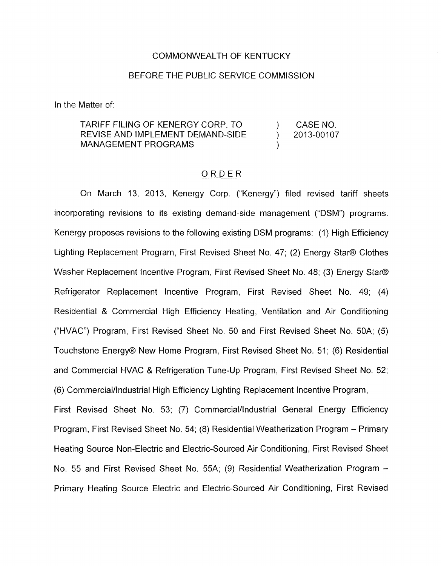## COMMONWEALTH OF KENTUCKY

## BEFORE THE PUBLIC SERVICE COMMISSION

In the Matter of:

TARIFF FILING OF KENERGY CORP. TO ) CASENO. REVISE AND IMPLEMENT DEMAND-SIDE ) 2013-00107 MANAGEMENT PROGRAMS

## ORDER

On March 13, 2013, Kenergy Corp. ("Kenergy") filed revised tariff sheets incorporating revisions to its existing demand-side management ("DSM") programs. Kenergy proposes revisions to the following existing DSM programs: (1) High Efficiency Lighting Replacement Program, First Revised Sheet No. 47; (2) Energy Star@ Clothes Washer Replacement Incentive Program, First Revised Sheet No. 48; (3) Energy Star@ Refrigerator Replacement Incentive Program, First Revised Sheet No. 49; (4) Residential & Commercial High Efficiency Heating, Ventilation and Air Conditioning ("HVAC") Program, First Revised Sheet No. 50 and First Revised Sheet No. 50A; (5) Touchstone Energy@ New Home Program, First Revised Sheet No. 51; (6) Residential and Commercial HVAC & Refrigeration Tune-Up Program, First Revised Sheet No. 52; (6) Commercial/lndustriaI High Efficiency Lighting Replacement Incentive Program, First Revised Sheet No. 53; (7) Commercial/lndustriaI General Energy Efficiency Program, First Revised Sheet No. 54; (8) Residential Weatherization Program - Primary Heating Source Non-Electric and Electric-Sourced Air Conditioning, First Revised Sheet

Primary Heating Source Electric and Electric-Sourced Air Conditioning, First Revised

No. 55 and First Revised Sheet No. 55A; (9) Residential Weatherization Program -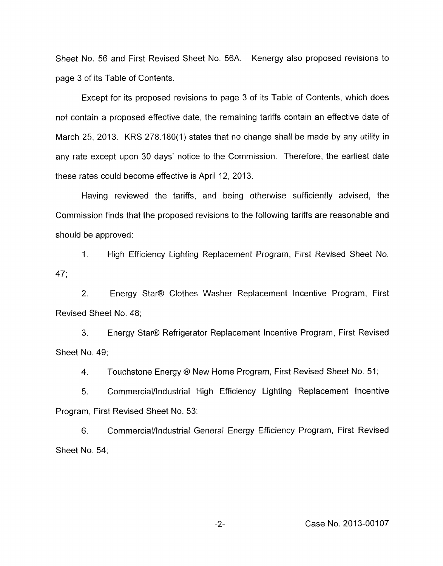Sheet No. 56 and First Revised Sheet No. 56A. Kenergy also proposed revisions to page 3 of its Table of Contents.

Except for its proposed revisions to page 3 of its Table of Contents, which does not contain a proposed effective date, the remaining tariffs contain an effective date of March 25, 2013. KRS 278.180(1) states that no change shall be made by any utility in any rate except upon 30 days' notice to the Commission. Therefore, the earliest date these rates could become effective is April 12, 2013.

Having reviewed the tariffs, and being otherwise sufficiently advised, the Commission finds that the proposed revisions to the following tariffs are reasonable and should be approved:

1. High Efficiency Lighting Replacement Program, First Revised Sheet No. 47;

2. Energy Star@ Clothes Washer Replacement Incentive Program, First Revised Sheet No. 48;

3. Sheet No. 49; Energy Stat@ Refrigerator Replacement Incentive Program, First Revised

4. Touchstone Energy ® New Home Program, First Revised Sheet No. 51;

5. Commercial/lndustriaI High Efficiency Lighting Replacement Incentive Program, First Revised Sheet No. 53;

6. Sheet No. 54; Commercial/lndustriaI General Energy Efficiency Program, First Revised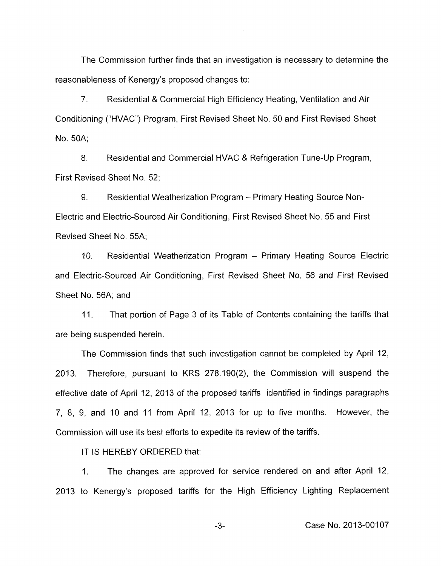The Commission further finds that an investigation is necessary to determine the reasonableness of Kenergy's proposed changes to:

7. Residential & Commercial High Efficiency Heating, Ventilation and Air Conditioning ("HVAC") Program, First Revised Sheet No. 50 and First Revised Sheet No. 50A;

8. Residential and Commercial HVAC & Refrigeration Tune-Up Program, First Revised Sheet No. 52;

9. Residential Weatherization Program - Primary Heating Source Non-Electric and Electric-Sourced Air Conditioning, First Revised Sheet No. 55 and First Revised Sheet No. 55A;

10. Residential Weatherization Program - Primary Heating Source Electric and Electric-Sourced Air Conditioning, First Revised Sheet No. 56 and First Revised Sheet No. 56A; and

11. That portion of Page 3 of its Table of Contents containing the tariffs that are being suspended herein.

The Commission finds that such investigation cannot be completed by April 12, 2013. Therefore, pursuant to KRS 278.190(2), the Commission will suspend the effective date of April 12, 2013 of the proposed tariffs identified in findings paragraphs 7, 8, 9, and IO and 11 from April 12, 2013 for up to five months. However, the Commission will use its best efforts to expedite its review of the tariffs.

IT IS HEREBY ORDERED that:

1. The changes are approved for service rendered on and after April 12, 2013 to Kenergy's proposed tariffs for the High Efficiency Lighting Replacement

-3- Case No. 2013-00107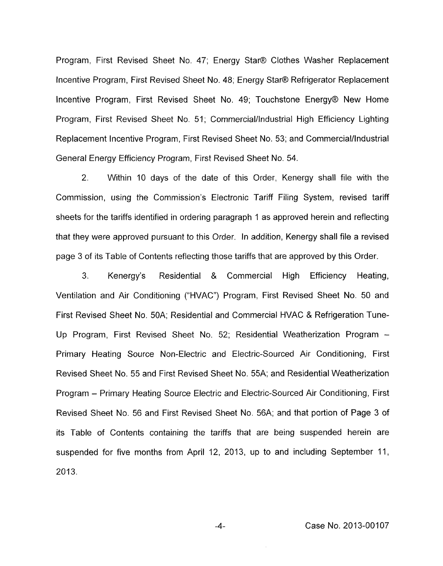Program, First Revised Sheet No. 47; Energy Star® Clothes Washer Replacement Incentive Program, First Revised Sheet No. 48; Energy Star@ Refrigerator Replacement Incentive Program, First Revised Sheet No. 49; Touchstone Energy@ New Home Program, First Revised Sheet No. 51; Commercial/Industrial High Efficiency Lighting Replacement Incentive Program, First Revised Sheet No. 53; and Commercial/lndustrial General Energy Efficiency Program, First Revised Sheet No. 54.

2. Within 10 days of the date of this Order, Kenergy shall file with the Commission, using the Commission's Electronic Tariff Filing System, revised tariff sheets for the tariffs identified in ordering paragraph 1 as approved herein and reflecting that they were approved pursuant to this Order. In addition, Kenergy shall file a revised page 3 of its Table of Contents reflecting those tariffs that are approved by this Order.

3. Kenergy's Residential & Commercial High Efficiency Heating, Ventilation and Air Conditioning ("HVAC") Program, First Revised Sheet No. 50 and First Revised Sheet No. 50A; Residential and Commercial HVAC & Refrigeration Tune-Up Program, First Revised Sheet No. 52; Residential Weatherization Program - Primary Heating Source Non-Electric and Electric-Sourced Air Conditioning, First Revised Sheet No. 55 and First Revised Sheet No. 55A; and Residential Weatherization Program - Primary Heating Source Electric and Electric-Sourced Air Conditioning, First Revised Sheet No. 56 and First Revised Sheet No. 56A; and that portion of Page 3 of its Table of Contents containing the tariffs that are being suspended herein are suspended for five months from April 12, 2013, up to and including September 11, 2013.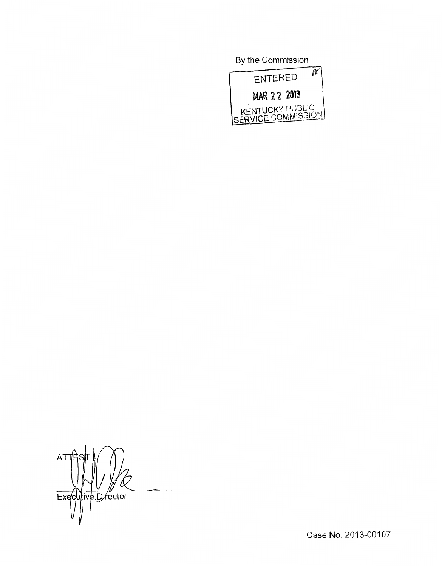Bv the Commission



**ATT** Executive Director

Case No. 2013-00107